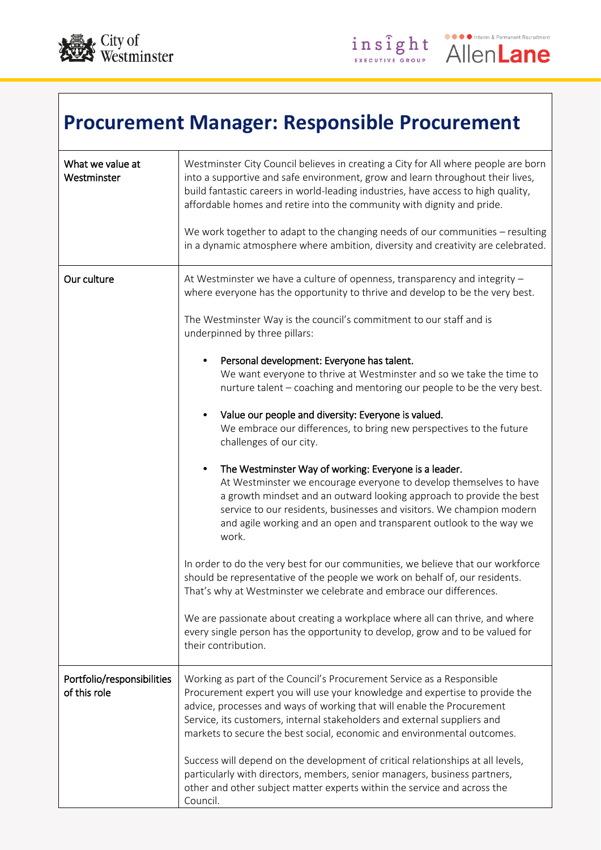



## **Procurement Manager: Responsible Procurement**

| What we value at<br>Westminster            | Westminster City Council believes in creating a City for All where people are born<br>into a supportive and safe environment, grow and learn throughout their lives,<br>build fantastic careers in world-leading industries, have access to high quality,<br>affordable homes and retire into the community with dignity and pride.<br>We work together to adapt to the changing needs of our communities - resulting<br>in a dynamic atmosphere where ambition, diversity and creativity are celebrated.                                                                                                                                                                                                                                                                                                                                                                                                                                                                                                                                                                                                                                                                                                                                                                                                                                                                                                                                   |
|--------------------------------------------|---------------------------------------------------------------------------------------------------------------------------------------------------------------------------------------------------------------------------------------------------------------------------------------------------------------------------------------------------------------------------------------------------------------------------------------------------------------------------------------------------------------------------------------------------------------------------------------------------------------------------------------------------------------------------------------------------------------------------------------------------------------------------------------------------------------------------------------------------------------------------------------------------------------------------------------------------------------------------------------------------------------------------------------------------------------------------------------------------------------------------------------------------------------------------------------------------------------------------------------------------------------------------------------------------------------------------------------------------------------------------------------------------------------------------------------------|
| Our culture                                | At Westminster we have a culture of openness, transparency and integrity -<br>where everyone has the opportunity to thrive and develop to be the very best.<br>The Westminster Way is the council's commitment to our staff and is<br>underpinned by three pillars:<br>Personal development: Everyone has talent.<br>We want everyone to thrive at Westminster and so we take the time to<br>nurture talent - coaching and mentoring our people to be the very best.<br>Value our people and diversity: Everyone is valued.<br>We embrace our differences, to bring new perspectives to the future<br>challenges of our city.<br>The Westminster Way of working: Everyone is a leader.<br>$\bullet$<br>At Westminster we encourage everyone to develop themselves to have<br>a growth mindset and an outward looking approach to provide the best<br>service to our residents, businesses and visitors. We champion modern<br>and agile working and an open and transparent outlook to the way we<br>work.<br>In order to do the very best for our communities, we believe that our workforce<br>should be representative of the people we work on behalf of, our residents.<br>That's why at Westminster we celebrate and embrace our differences.<br>We are passionate about creating a workplace where all can thrive, and where<br>every single person has the opportunity to develop, grow and to be valued for<br>their contribution. |
| Portfolio/responsibilities<br>of this role | Working as part of the Council's Procurement Service as a Responsible<br>Procurement expert you will use your knowledge and expertise to provide the<br>advice, processes and ways of working that will enable the Procurement<br>Service, its customers, internal stakeholders and external suppliers and<br>markets to secure the best social, economic and environmental outcomes.<br>Success will depend on the development of critical relationships at all levels,<br>particularly with directors, members, senior managers, business partners,<br>other and other subject matter experts within the service and across the<br>Council.                                                                                                                                                                                                                                                                                                                                                                                                                                                                                                                                                                                                                                                                                                                                                                                               |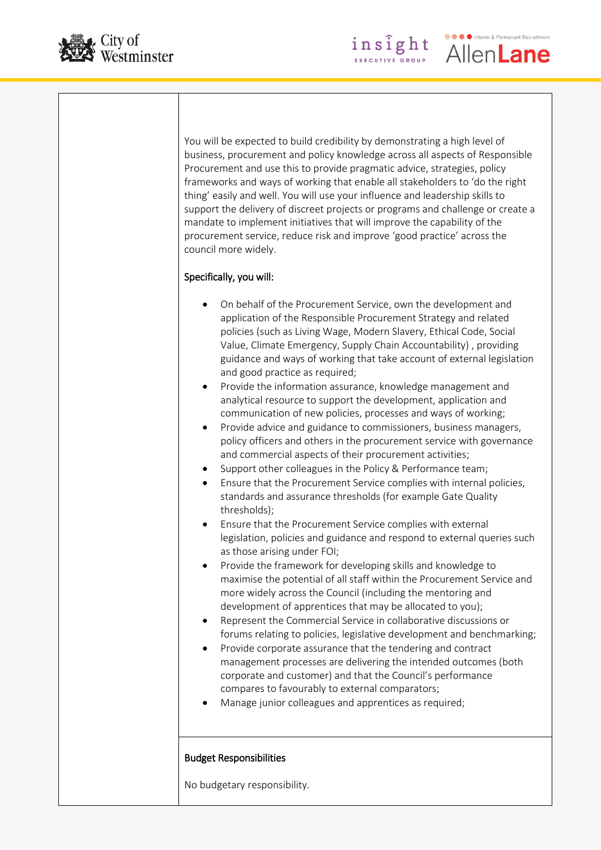



Interim & Permanent Recruitment

AllenLane

insight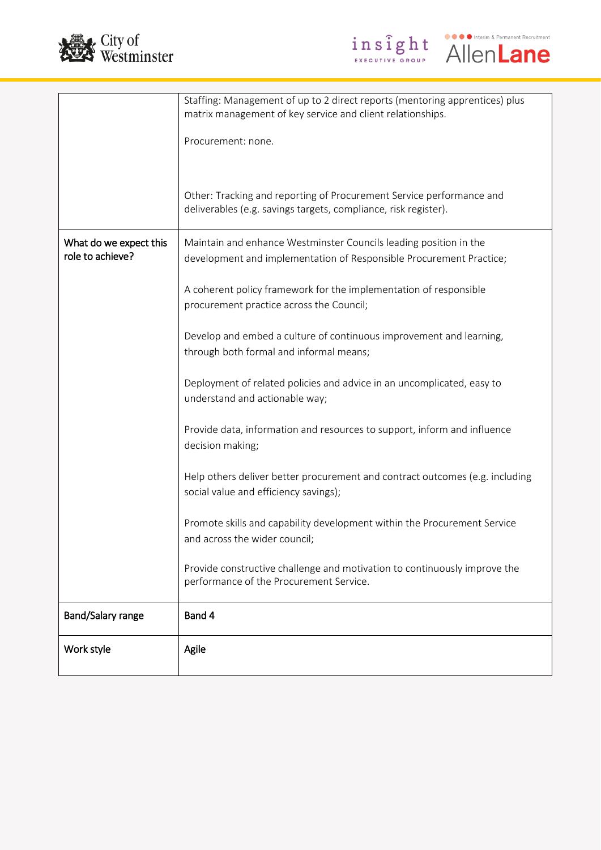



|                                            | Staffing: Management of up to 2 direct reports (mentoring apprentices) plus<br>matrix management of key service and client relationships. |
|--------------------------------------------|-------------------------------------------------------------------------------------------------------------------------------------------|
|                                            | Procurement: none.                                                                                                                        |
|                                            |                                                                                                                                           |
|                                            |                                                                                                                                           |
|                                            | Other: Tracking and reporting of Procurement Service performance and<br>deliverables (e.g. savings targets, compliance, risk register).   |
| What do we expect this<br>role to achieve? | Maintain and enhance Westminster Councils leading position in the<br>development and implementation of Responsible Procurement Practice;  |
|                                            | A coherent policy framework for the implementation of responsible<br>procurement practice across the Council;                             |
|                                            | Develop and embed a culture of continuous improvement and learning,<br>through both formal and informal means;                            |
|                                            | Deployment of related policies and advice in an uncomplicated, easy to<br>understand and actionable way;                                  |
|                                            | Provide data, information and resources to support, inform and influence<br>decision making;                                              |
|                                            | Help others deliver better procurement and contract outcomes (e.g. including<br>social value and efficiency savings);                     |
|                                            | Promote skills and capability development within the Procurement Service<br>and across the wider council;                                 |
|                                            | Provide constructive challenge and motivation to continuously improve the<br>performance of the Procurement Service.                      |
| Band/Salary range                          | Band 4                                                                                                                                    |
| Work style                                 | Agile                                                                                                                                     |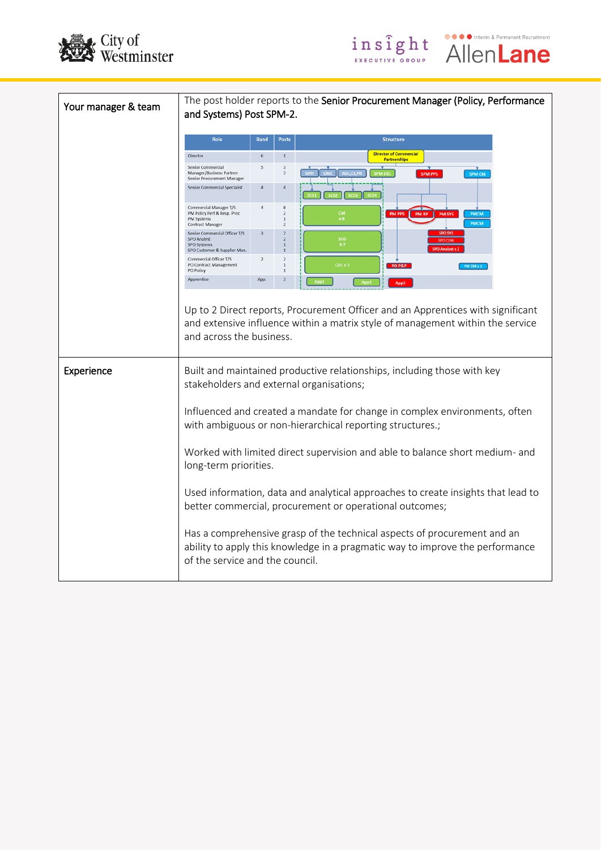



● ● ● Interim & Permanent Recruitment

**AllenLane** 

insight

GROU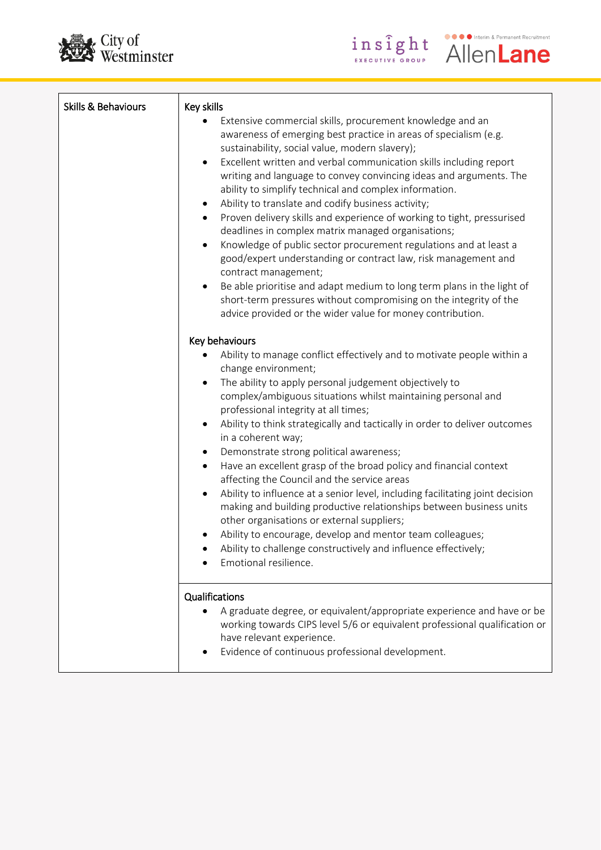



| Skills & Behaviours | Key skills<br>Extensive commercial skills, procurement knowledge and an<br>awareness of emerging best practice in areas of specialism (e.g.<br>sustainability, social value, modern slavery);<br>Excellent written and verbal communication skills including report<br>$\bullet$<br>writing and language to convey convincing ideas and arguments. The<br>ability to simplify technical and complex information.<br>Ability to translate and codify business activity;<br>٠<br>Proven delivery skills and experience of working to tight, pressurised<br>٠<br>deadlines in complex matrix managed organisations;<br>Knowledge of public sector procurement regulations and at least a<br>$\bullet$<br>good/expert understanding or contract law, risk management and<br>contract management;<br>Be able prioritise and adapt medium to long term plans in the light of<br>short-term pressures without compromising on the integrity of the<br>advice provided or the wider value for money contribution. |
|---------------------|-----------------------------------------------------------------------------------------------------------------------------------------------------------------------------------------------------------------------------------------------------------------------------------------------------------------------------------------------------------------------------------------------------------------------------------------------------------------------------------------------------------------------------------------------------------------------------------------------------------------------------------------------------------------------------------------------------------------------------------------------------------------------------------------------------------------------------------------------------------------------------------------------------------------------------------------------------------------------------------------------------------|
|                     | Key behaviours<br>Ability to manage conflict effectively and to motivate people within a<br>change environment;<br>The ability to apply personal judgement objectively to<br>$\bullet$<br>complex/ambiguous situations whilst maintaining personal and<br>professional integrity at all times;<br>Ability to think strategically and tactically in order to deliver outcomes<br>$\bullet$<br>in a coherent way;<br>Demonstrate strong political awareness;<br>٠<br>Have an excellent grasp of the broad policy and financial context<br>$\bullet$<br>affecting the Council and the service areas<br>Ability to influence at a senior level, including facilitating joint decision<br>$\bullet$<br>making and building productive relationships between business units<br>other organisations or external suppliers;<br>Ability to encourage, develop and mentor team colleagues;<br>Ability to challenge constructively and influence effectively;<br>Emotional resilience.                               |
|                     | Qualifications<br>A graduate degree, or equivalent/appropriate experience and have or be<br>working towards CIPS level 5/6 or equivalent professional qualification or<br>have relevant experience.<br>Evidence of continuous professional development.                                                                                                                                                                                                                                                                                                                                                                                                                                                                                                                                                                                                                                                                                                                                                   |